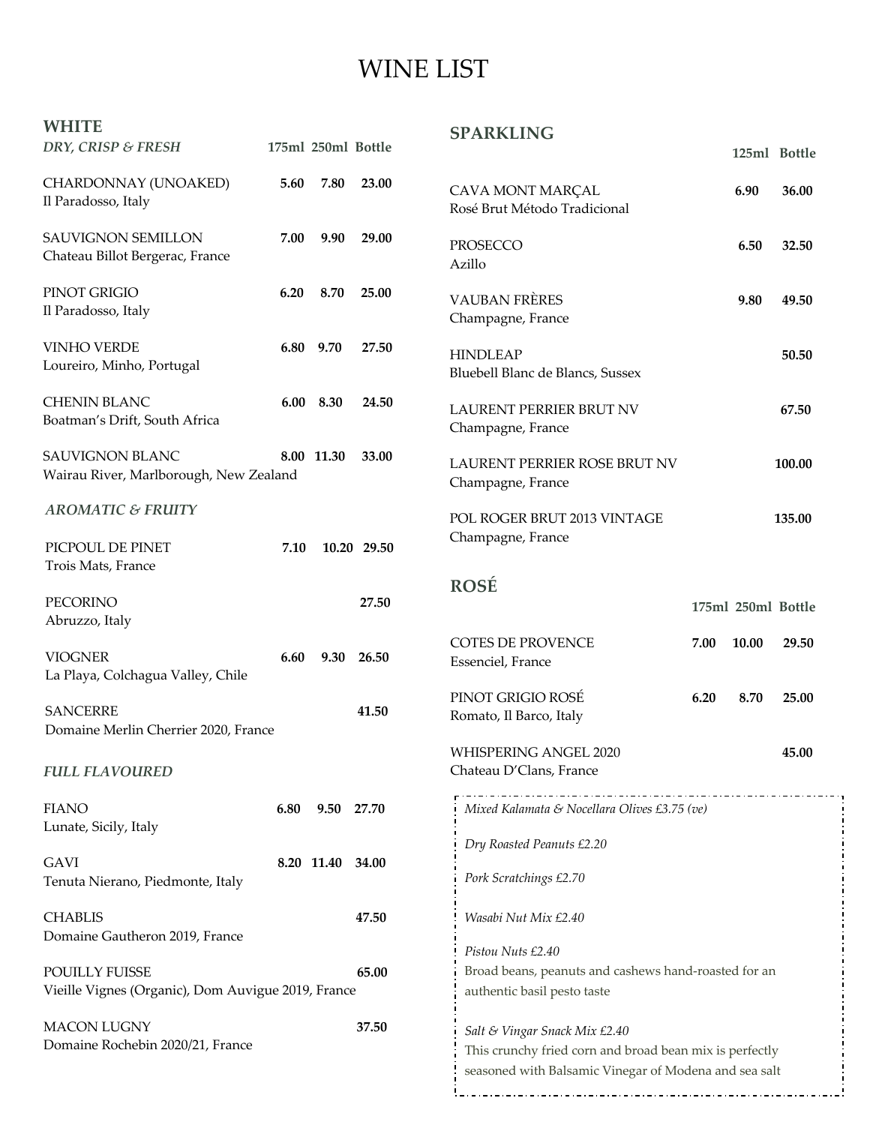## WINE LIST

| <b>WHITE</b><br>DRY, CRISP & FRESH                                   |      | 175ml 250ml Bottle |             | <b>SPARKLING</b>                                                                                                                                  |                    |       | 125ml Bottle |
|----------------------------------------------------------------------|------|--------------------|-------------|---------------------------------------------------------------------------------------------------------------------------------------------------|--------------------|-------|--------------|
| CHARDONNAY (UNOAKED)<br>Il Paradosso, Italy                          | 5.60 | 7.80               | 23.00       | CAVA MONT MARÇAL<br>Rosé Brut Método Tradicional                                                                                                  |                    | 6.90  | 36.00        |
| <b>SAUVIGNON SEMILLON</b><br>Chateau Billot Bergerac, France         | 7.00 | 9.90               | 29.00       | PROSECCO<br>Azillo                                                                                                                                |                    | 6.50  | 32.50        |
| PINOT GRIGIO<br>Il Paradosso, Italy                                  | 6.20 | 8.70               | 25.00       | <b>VAUBAN FRÈRES</b><br>Champagne, France                                                                                                         |                    | 9.80  | 49.50        |
| <b>VINHO VERDE</b><br>Loureiro, Minho, Portugal                      | 6.80 | 9.70               | 27.50       | <b>HINDLEAP</b><br>Bluebell Blanc de Blancs, Sussex                                                                                               |                    |       | 50.50        |
| <b>CHENIN BLANC</b><br>Boatman's Drift, South Africa                 |      | 6.00 8.30          | 24.50       | <b>LAURENT PERRIER BRUT NV</b><br>Champagne, France                                                                                               |                    |       | 67.50        |
| <b>SAUVIGNON BLANC</b><br>Wairau River, Marlborough, New Zealand     |      | 8.00 11.30         | 33.00       | LAURENT PERRIER ROSE BRUT NV<br>Champagne, France                                                                                                 |                    |       | 100.00       |
| <b>AROMATIC &amp; FRUITY</b><br>PICPOUL DE PINET                     | 7.10 |                    | 10.20 29.50 | POL ROGER BRUT 2013 VINTAGE<br>Champagne, France                                                                                                  |                    |       | 135.00       |
| Trois Mats, France                                                   |      |                    |             |                                                                                                                                                   |                    |       |              |
| <b>PECORINO</b><br>Abruzzo, Italy                                    |      |                    | 27.50       | <b>ROSÉ</b>                                                                                                                                       | 175ml 250ml Bottle |       |              |
| <b>VIOGNER</b><br>La Playa, Colchagua Valley, Chile                  | 6.60 | 9.30               | 26.50       | <b>COTES DE PROVENCE</b><br>Essenciel, France                                                                                                     | 7.00               | 10.00 | 29.50        |
| <b>SANCERRE</b><br>Domaine Merlin Cherrier 2020, France              |      |                    | 41.50       | PINOT GRIGIO ROSÉ<br>Romato, Il Barco, Italy                                                                                                      | 6.20               | 8.70  | 25.00        |
| <b>FULL FLAVOURED</b>                                                |      |                    |             | WHISPERING ANGEL 2020<br>Chateau D'Clans, France                                                                                                  |                    |       | 45.00        |
| <b>FIANO</b><br>Lunate, Sicily, Italy                                | 6.80 | 9.50 27.70         |             | Mixed Kalamata & Nocellara Olives £3.75 (ve)                                                                                                      |                    |       |              |
|                                                                      |      |                    |             | Dry Roasted Peanuts £2.20                                                                                                                         |                    |       |              |
| <b>GAVI</b><br>Tenuta Nierano, Piedmonte, Italy                      |      | 8.20 11.40 34.00   |             | Pork Scratchings £2.70                                                                                                                            |                    |       |              |
| <b>CHABLIS</b><br>Domaine Gautheron 2019, France                     |      |                    | 47.50       | Wasabi Nut Mix £2.40                                                                                                                              |                    |       |              |
| POUILLY FUISSE<br>Vieille Vignes (Organic), Dom Auvigue 2019, France |      |                    | 65.00       | Pistou Nuts £2.40<br>Broad beans, peanuts and cashews hand-roasted for an<br>authentic basil pesto taste                                          |                    |       |              |
| <b>MACON LUGNY</b><br>Domaine Rochebin 2020/21, France               |      |                    | 37.50       | Salt & Vingar Snack Mix £2.40<br>This crunchy fried corn and broad bean mix is perfectly<br>seasoned with Balsamic Vinegar of Modena and sea salt |                    |       |              |